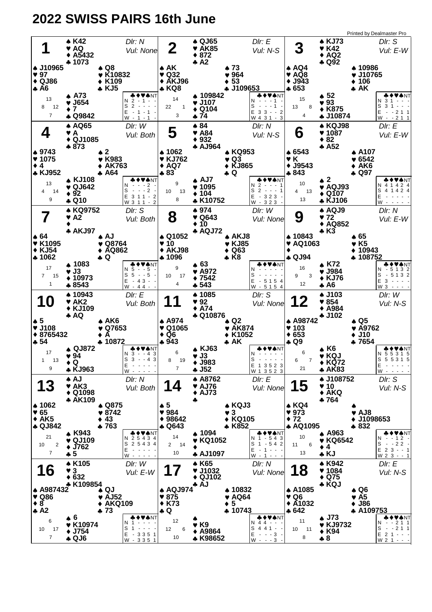## **2022 SWISS PAIRS 16th June**